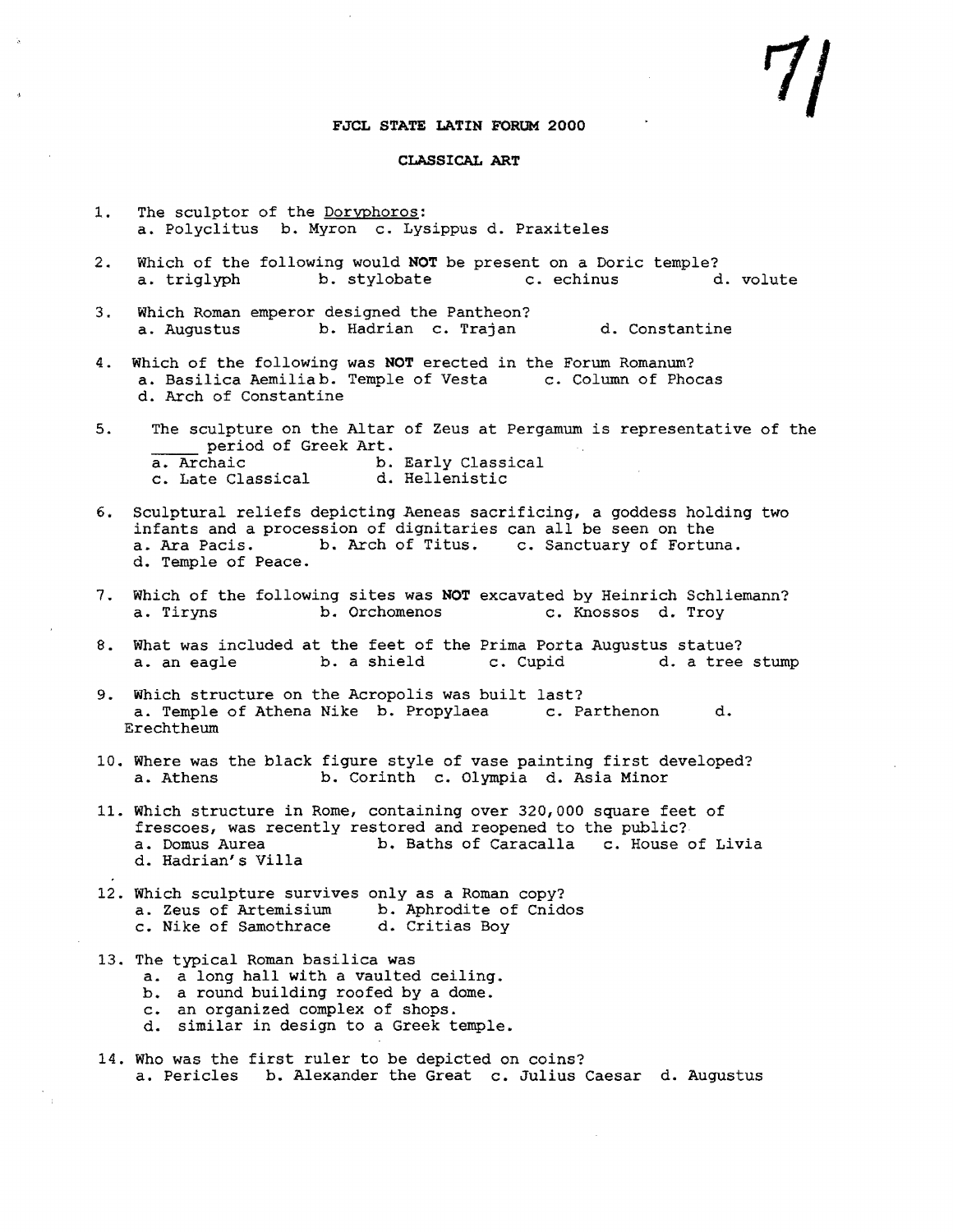## **FJCL STATE LATIN FORUM 2000**

## **CLASSICAL ART**

- 1. The sculptor of the Doryphoros: a. Polyclitus b. Myron c. Lysippus d. Praxiteles
- 2. Which of the following would **NOT** be present on a Doric temple?<br>a. triglyph b. stylobate c. echinus d. volute b. stylobate
- 3. Which Roman emperor designed the Pantheon?<br>a. Augustus b. Hadrian c. Trajan b. Hadrian c. Trajan d. Constantine
- 4. Which of the following was **NOT** erected in the Forum Romanum? a. Basilica Aemiliab. Temple of Vesta c. Column of Phocas d. Arch of Constantine
- 5. The sculpture on the Altar of Zeus at Pergamum is representative of the period of Greek Art.<br>a. Archaic b. b. Early Classical<br>d. Hellenistic c. Late Classical
- 6. Sculptural reliefs depicting Aeneas sacrificing, <sup>a</sup> goddess holding two infants and a procession of dignitaries can all be seen on the<br>a. Ara Pacis. b. Arch of Titus. c. Sanctuary of Fortur c. Sanctuary of Fortuna. d. Temple of Peace.
- 7. Which of the following sites was **NOT** excavated by Heinrich Schliemann?<br>a. Tirvns b. Orchomenos c. Knossos d. Trov c. Knossos d. Troy
- 8. What was included at the feet of the Prima Porta Augustus statue?<br>a. an eagle b. a shield c. Cupid d. a tree stump b. a shield
- 9. Which structure on the Acropolis was built last?<br>a. Temple of Athena Nike b. Propylaea c. Parthenon a. Temple of Athena Nike b. Propylaea c. Parthenon d. Erechtheum
- 10. Where was the black figure style of vase painting first developed?<br>a. Athens b. Corinth c. Olympia d. Asia Minor b. Corinth c. Olympia d. Asia Minor
- 11. Which structure in Rome, containing over 320,000 square feet of frescoes, was recently restored and reopened to the public?<br>a. Domus Aurea b. Baths of Caracalla c. House b. Baths of Caracalla c. House of Livia d. Hadrian's Villa
- 12. Which sculpture survives only as a Roman copy? a. Zeus of Artemisium b. Aphrodite of Cnidos c. Nike of Samothrace d. Critias Boy
- 13. The typical Roman basilica was a. a long hall with a vaulted ceiling. b. a round building roofed by a dome. an organized complex of shops.
	- c.
	- d. similar in design to a Greek temple.
- 14. Who was the first ruler to be depicted on coins? a. Pericles b. Alexander the Great c. Julius Caesar d. Augustus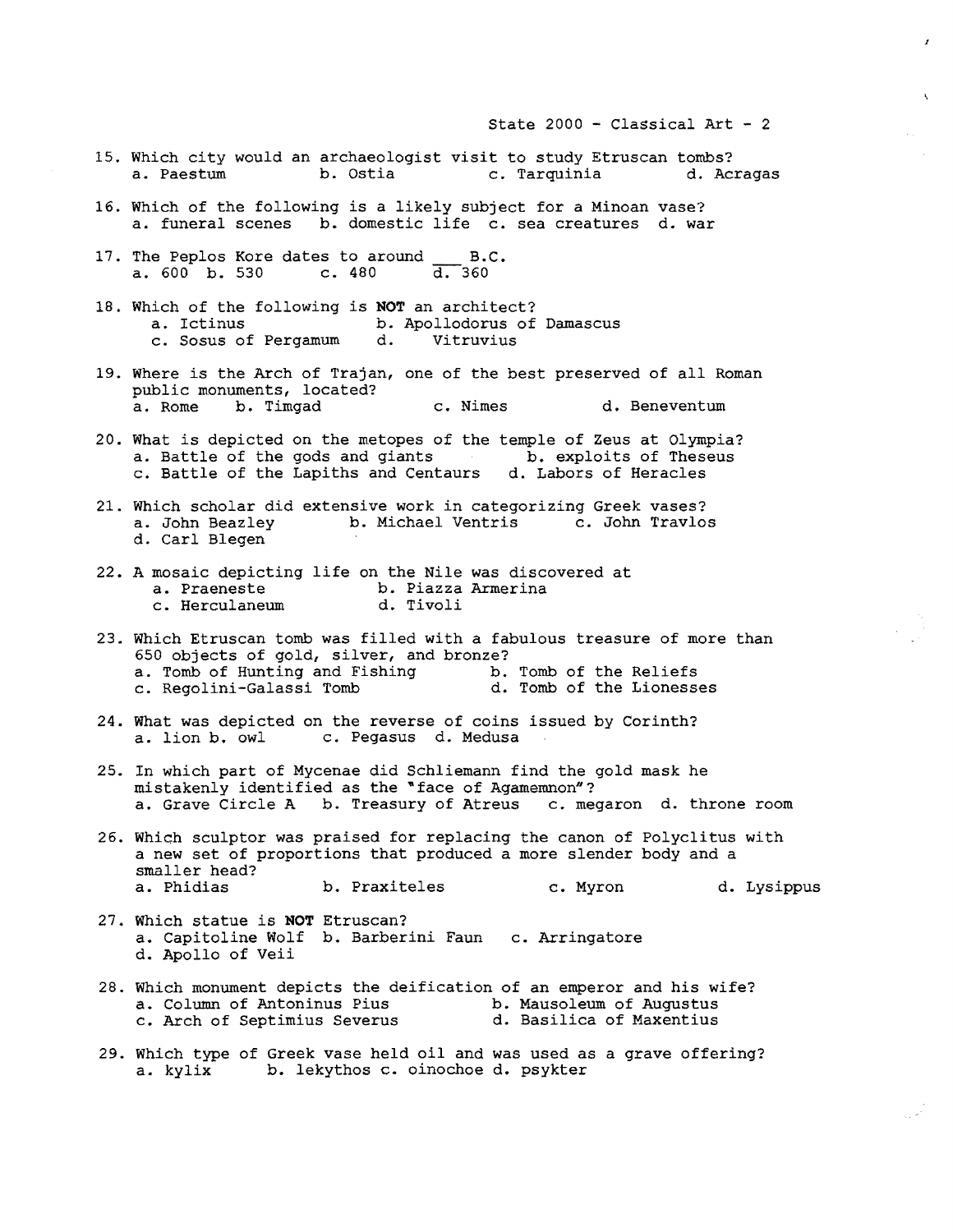- 15. Which city would an archaeologist visit to study Etruscan tombs?<br>a. Paestum b. Ostia c. Tarquinia d. Acragas c. Tarquinia
- 16. Which of the following is <sup>a</sup> likely subject for <sup>a</sup> Minoan vase? a. funeral scenes b. domestic life c. sea creatures d. war
- 17. The Peplos Kore dates to around  $B.C.$ <br>a. 600 b. 530 c. 480 d. 360 a.  $600$  b. 530
- 18. Which of the following is **NOT** an architect?<br>a. Ictinus b. Apollodorus of b. Apollodorus of Damascus<br>d. Vitruvius c. Sosus of Pergamum
- 19. Where is the Arch of Trajan, one of the best preserved of all Roman public monuments, located?<br>a. Rome b. Timgad c. Nimes d. Beneventum
- 20. What is depicted on the metopes of the temple of Zeus at Olympia?<br>a. Battle of the gods and giants b. exploits of Theseus a. Battle of the gods and giants c. Battle of the Lapiths and Centaurs d. Labors of Heracles
- 21. Which scholar did extensive work in categorizing Greek vases?<br>a. John Beazley b. Michael Ventris c. John Travlos b. Michael Ventris d. Carl Blegen
- 22. A mosaic depicting life on the Nile was discovered at<br>a. Praeneste b. Piazza Armerina b. Piazza Armerina<br>d. Tivoli c. Herculaneum
- 23. Which Etruscan tomb was filled with <sup>a</sup> fabulous treasure of more than 650 objects of gold, silver, and bronze?<br>a. Tomb of Hunting and Fishing b. Tomb of the Reliefs a. Tomb of Hunting and Fishing b. Tomb of the Reliefs<br>c. Regolini-Galassi Tomb b. Tomb of the Lionesses c. Regolini-Galassi Tomb
- 24. What was depicted on the reverse of coins issued by Corinth?<br>a. lion b. owl c. Pegasus d. Medusa c. Pegasus d. Medusa
- 25. In which part of Mycenae did Schliemann find the gold mask he mistakenly identified as the "face of Agamemnon"?<br>a. Grave Circle A b. Treasury of Atreus c. megaron d. throne room a. Grave Circle A b. Treasury of Atreus
- 26. Which sculptor was praised for replacing the canon of Polyclitus with more straighted and produced a more slender body and a smaller head?<br>a. Phidias b. Praxiteles c. Myron d. Lysippus
- 27. Which statue is **NOT** Etruscan? a. Capitoline Wolf b. Barberini Faun d. Apollo of Veii c. Arringatore
- 28. Which monument depicts the deification of an emperor and his wife?<br>a. Column of Antoninus Pius b. Mausoleum of Augustus a. Column of Antoninus Pius b. Mausoleum of Augustus c. Arch of Septimius Severus d. Basilica of Maxentius
- 29. Which type of Greek vase held oil and was used as a grave offering?<br>a. kylix b. lekythos c. oinochoe d. psykter b. lekythos c. oinochoe d. psykter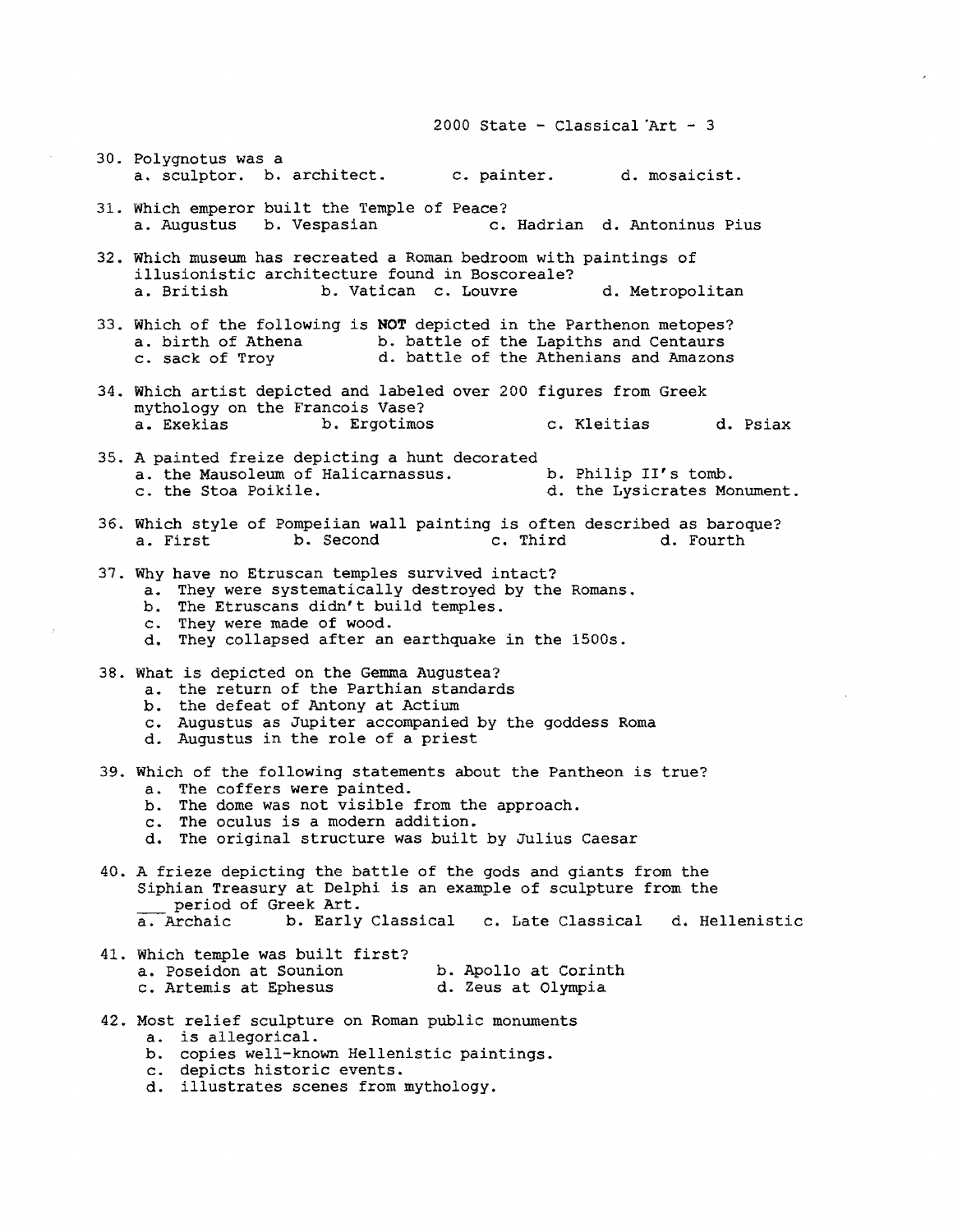2000 State - Classical  $Art - 3$ 

- 30. Polygnotus was a a. sculptor. b. architect. c. painter. d. mosaicist.
- 31. Which emperor built the Temple of Peace?<br>a. Augustus b. Vespasian c. c. Hadrian d. Antoninus Pius
- 32. Which museum has recreated a Roman bedroom with paintings of illusionistic architecture found in Boscoreale?<br>a. British b. Vatican c. Louvre b. Vatican c. Louvre d. Metropolitan
- 33. Which of the following is **NOT** depicted in the Parthenon metopes? a. birth of Athena b. battle of the Lapiths and Centaurs<br>c. sack of Trov d. battle of the Athenians and Amazon: d. battle of the Athenians and Amazons
- 34. Which artist depicted and labeled over 200 figures from Greek mythology on the Francois Vase?<br>a. Exekias b. Ergotimo: a. Exekias b. Ergotimos c. Kleitias d. Psiax
- 35. A painted freize depicting a hunt decorated a. the Mausoleum of Halicarnassus. c. the Stoa Poikile. b. Philip II's tomb. d. the Lysicrates Monument.
- 36. Which style of Pompeiian wall painting is often described as baroque?<br>a. First b. Second c. Third d. Fourth b. Second
- 37. Why have no Etruscan temples survived intact?
	- a. They were systematically destroyed by the Romans.
	- b. The Etruscans didn't build temples.
	- c. They were made of wood.
	- d. They collapsed after an earthquake in the 1500s.
- 38. What is depicted on the Gemma Augustea?
	- a. the return of the Parthian standards
	- b. the defeat of Antony at Actium
	- c. Augustus as Jupiter accompanied by the goddess Roma
	- d. Augustus in the role of a priest
- 39. Which of the following statements about the Pantheon is true? a. The coffers were painted.
	- b. The dome was not visible from the approach.
	- c. The oculus is a modern addition.
	- d. The original structure was built by Julius Caesar
- 40. A frieze depicting the battle of the gods and giants from the Siphian Treasury at Delphi is an example of sculpture from the period of Greek Art.<br>a. Archaic b. Early b. Early Classical c. Late Classical d. Hellenistic
- 41. Which temple was built first? a. Poseidon at Sounion c. Artemis at Ephesus b. Apollo at Corinth d. Zeus at Olympia
- 42. Most relief sculpture on Roman public monuments
	- a. is allegorical.
	- b. copies well-known Hellenistic paintings.
	- c. depicts historic events.
	- d. illustrates scenes from mythology.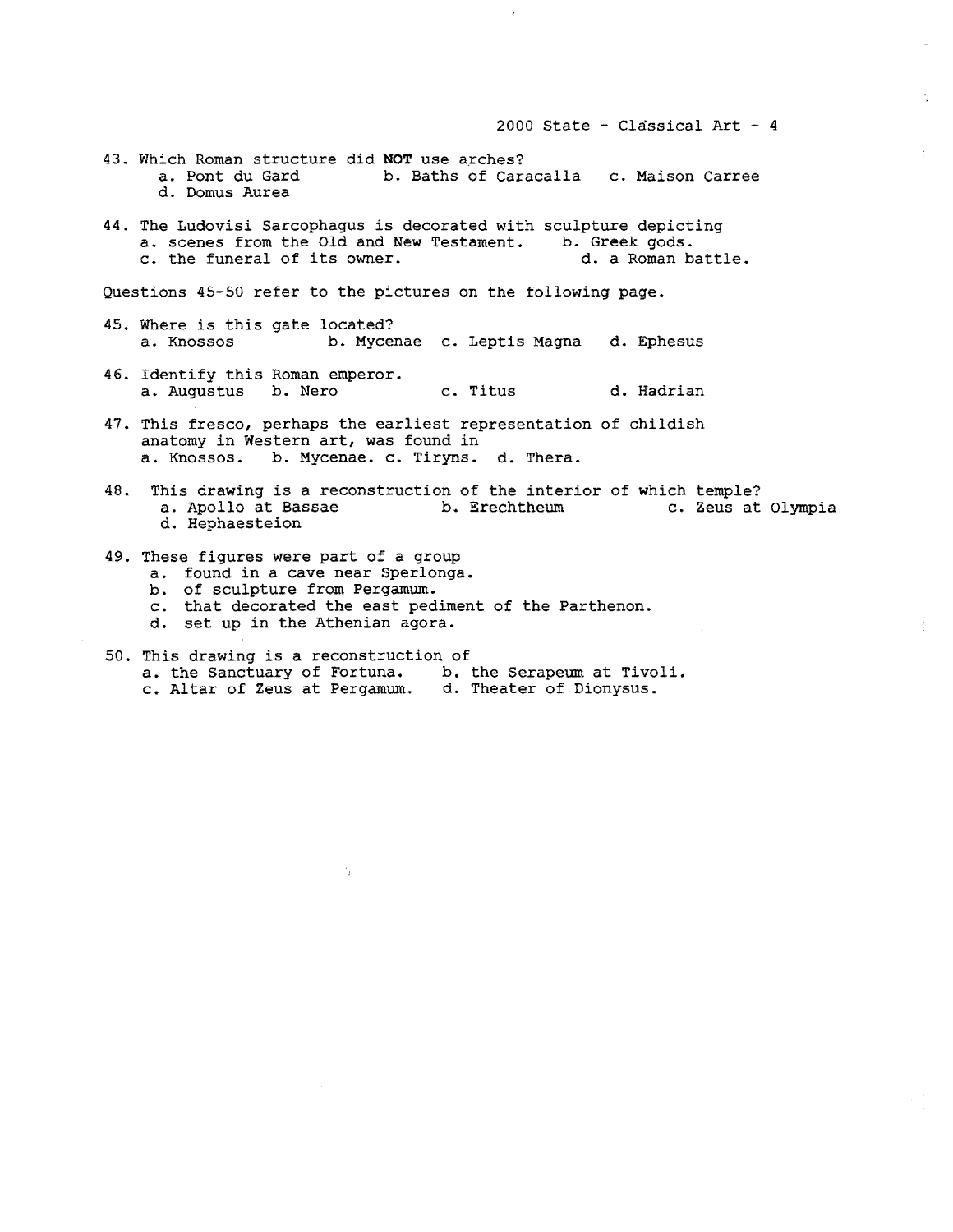2000 State - Classical Art - 4 43. Which Roman structure did **NOT** use arches?<br>a. Pont du Gard b. Baths of Cara a. Pont du Gard b. Baths of Caracalla c. Maison Carree d. Domus Aurea 44. The Ludovisi Sarcophagus is decorated with sculpture depicting<br>a. scenes from the Old and New Testament. b. Greek gods. a. scenes from the Old and New Testament. b. Greek gods.<br>c. the funeral of its owner. (d. a Roman battle. c. the funeral of its owner. Questions 45-50 refer to the pictures on the following page. 45. Where is this gate located?<br>a. Knossos b. Mycer a. Knossos b. Mycenae c. Leptis Magna d. Ephesus 46. Identify this Roman emperor. a. Augustus b. Nero c. Titus d. Hadrian 47. This fresco, perhaps the earliest representation of childish anatomy in Western art, was found in a. Knossos. b. Mycenae. c. Tiryns. d. Thera. 48. This drawing is a reconstruction of the interior of which temple?<br>
a. Apollo at Bassae b. Erechtheum c. Zeus at Olympia b. Erechtheum d. Hephaesteion

- 49. These figures were part of a group
	- a. found in a cave near Sperlonga.
	- b. of sculpture from Pergamum.
	- c. that decorated the east pediment of the Parthenon.
	- d. set up in the Athenian agora.
- 50. This drawing is a reconstruction of a. the Sanctuary of Fortuna. b. the Serapeum at Tivoli. c. Altar of Zeus at Pergamum. d. Theater of Dionysus.

 $\gamma_{\rm{c}}$